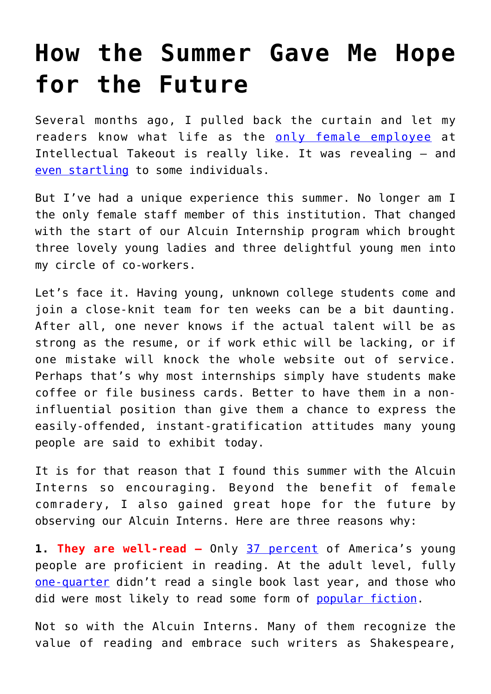## **[How the Summer Gave Me Hope](https://intellectualtakeout.org/2018/08/how-the-summer-gave-me-hope-for-the-future/) [for the Future](https://intellectualtakeout.org/2018/08/how-the-summer-gave-me-hope-for-the-future/)**

Several months ago, I pulled back the curtain and let my readers know what life as the [only female employee](https://www.intellectualtakeout.org/article/breaking-silence-toxic-masculinity-intellectual-takeout) at Intellectual Takeout is really like. It was revealing – and [even startling](https://www.intellectualtakeout.org/article/toxic-masculinity-intellectual-takeout) to some individuals.

But I've had a unique experience this summer. No longer am I the only female staff member of this institution. That changed with the start of our Alcuin Internship program which brought three lovely young ladies and three delightful young men into my circle of co-workers.

Let's face it. Having young, unknown college students come and join a close-knit team for ten weeks can be a bit daunting. After all, one never knows if the actual talent will be as strong as the resume, or if work ethic will be lacking, or if one mistake will knock the whole website out of service. Perhaps that's why most internships simply have students make coffee or file business cards. Better to have them in a noninfluential position than give them a chance to express the easily-offended, instant-gratification attitudes many young people are said to exhibit today.

It is for that reason that I found this summer with the Alcuin Interns so encouraging. Beyond the benefit of female comradery, I also gained great hope for the future by observing our Alcuin Interns. Here are three reasons why:

**1. They are well-read –** Only [37 percent](https://www.nationsreportcard.gov/) of America's young people are proficient in reading. At the adult level, fully [one-quarter](http://www.pewresearch.org/fact-tank/2018/03/23/who-doesnt-read-books-in-america/) didn't read a single book last year, and those who did were most likely to read some form of [popular fiction.](http://time.com/5059023/most-read-books-2017-amazon/)

Not so with the Alcuin Interns. Many of them recognize the value of reading and embrace such writers as Shakespeare,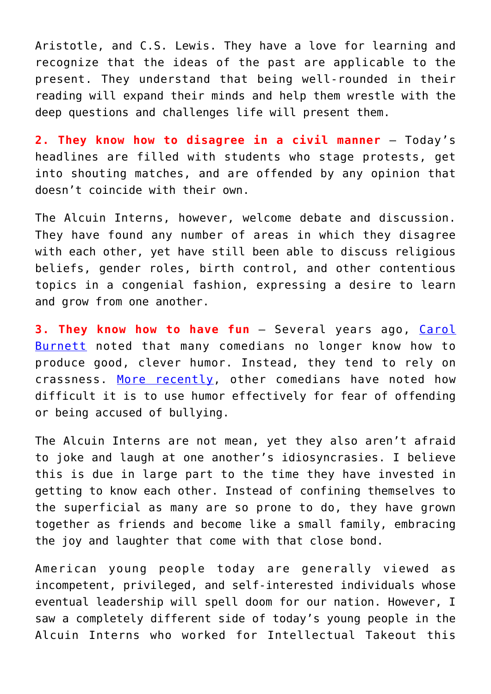Aristotle, and C.S. Lewis. They have a love for learning and recognize that the ideas of the past are applicable to the present. They understand that being well-rounded in their reading will expand their minds and help them wrestle with the deep questions and challenges life will present them.

**2. They know how to disagree in a civil manner** – Today's headlines are filled with students who stage protests, get into shouting matches, and are offended by any opinion that doesn't coincide with their own.

The Alcuin Interns, however, welcome debate and discussion. They have found any number of areas in which they disagree with each other, yet have still been able to discuss religious beliefs, gender roles, birth control, and other contentious topics in a congenial fashion, expressing a desire to learn and grow from one another.

**3. They know how to have fun** – Several years ago, [Carol](https://www.intellectualtakeout.org/blog/carol-burnett-cleverness-entertainment-becoming-extinct) [Burnett](https://www.intellectualtakeout.org/blog/carol-burnett-cleverness-entertainment-becoming-extinct) noted that many comedians no longer know how to produce good, clever humor. Instead, they tend to rely on crassness. [More recently](https://www.intellectualtakeout.org/article/mel-brooks-political-correctness-stupid-and-killing-comedy), other comedians have noted how difficult it is to use humor effectively for fear of offending or being accused of bullying.

The Alcuin Interns are not mean, yet they also aren't afraid to joke and laugh at one another's idiosyncrasies. I believe this is due in large part to the time they have invested in getting to know each other. Instead of confining themselves to the superficial as many are so prone to do, they have grown together as friends and become like a small family, embracing the joy and laughter that come with that close bond.

American young people today are generally viewed as incompetent, privileged, and self-interested individuals whose eventual leadership will spell doom for our nation. However, I saw a completely different side of today's young people in the Alcuin Interns who worked for Intellectual Takeout this